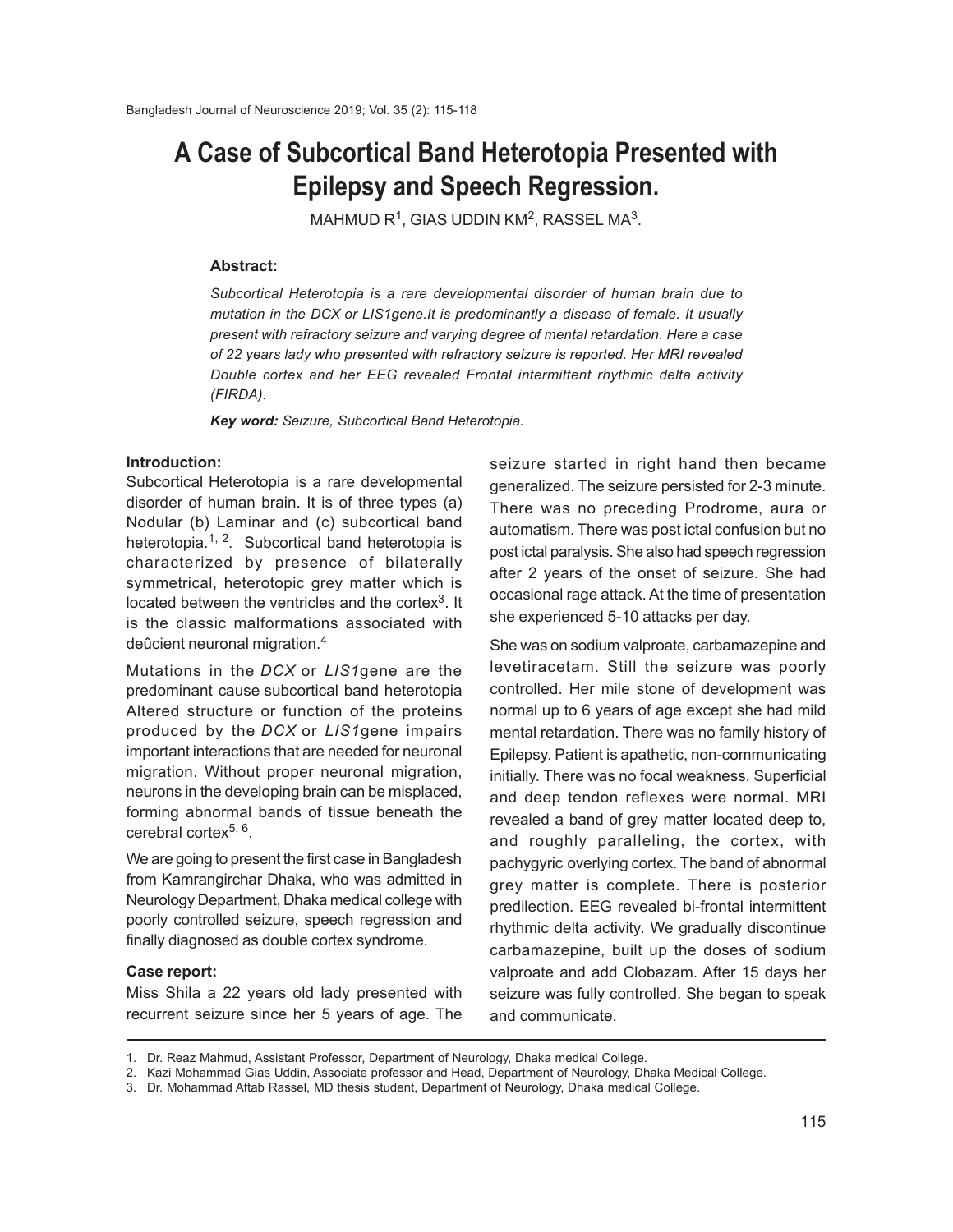# **A Case of Subcortical Band Heterotopia Presented with Epilepsy and Speech Regression.**

 $MAHMUD R<sup>1</sup>, GIAS UDDIN KM<sup>2</sup>, RASSEL MA<sup>3</sup>.$ 

## **Abstract:**

*Subcortical Heterotopia is a rare developmental disorder of human brain due to mutation in the DCX or LIS1gene.It is predominantly a disease of female. It usually present with refractory seizure and varying degree of mental retardation. Here a case of 22 years lady who presented with refractory seizure is reported. Her MRI revealed Double cortex and her EEG revealed Frontal intermittent rhythmic delta activity (FIRDA).*

*Key word: Seizure, Subcortical Band Heterotopia.*

## **Introduction:**

Subcortical Heterotopia is a rare developmental disorder of human brain. It is of three types (a) Nodular (b) Laminar and (c) subcortical band heterotopia.<sup>1, 2</sup>. Subcortical band heterotopia is characterized by presence of bilaterally symmetrical, heterotopic grey matter which is located between the ventricles and the cortex<sup>3</sup>. It is the classic malformations associated with deûcient neuronal migration.<sup>4</sup>

Mutations in the *DCX* or *LIS1*gene are the predominant cause subcortical band heterotopia Altered structure or function of the proteins produced by the *DCX* or *LIS1*gene impairs important interactions that are needed for neuronal migration. Without proper neuronal migration, neurons in the developing brain can be misplaced, forming abnormal bands of tissue beneath the cerebral cortex<sup>5, 6</sup>.

We are going to present the first case in Bangladesh from Kamrangirchar Dhaka, who was admitted in Neurology Department, Dhaka medical college with poorly controlled seizure, speech regression and finally diagnosed as double cortex syndrome.

#### **Case report:**

Miss Shila a 22 years old lady presented with recurrent seizure since her 5 years of age. The

seizure started in right hand then became generalized. The seizure persisted for 2-3 minute. There was no preceding Prodrome, aura or automatism. There was post ictal confusion but no post ictal paralysis. She also had speech regression after 2 years of the onset of seizure. She had occasional rage attack. At the time of presentation she experienced 5-10 attacks per day.

She was on sodium valproate, carbamazepine and levetiracetam. Still the seizure was poorly controlled. Her mile stone of development was normal up to 6 years of age except she had mild mental retardation. There was no family history of Epilepsy. Patient is apathetic, non-communicating initially. There was no focal weakness. Superficial and deep tendon reflexes were normal. MRI revealed a band of grey matter located deep to, and roughly paralleling, the cortex, with pachygyric overlying cortex. The band of abnormal grey matter is complete. There is posterior predilection. EEG revealed bi-frontal intermittent rhythmic delta activity. We gradually discontinue carbamazepine, built up the doses of sodium valproate and add Clobazam. After 15 days her seizure was fully controlled. She began to speak and communicate.

<sup>1.</sup> Dr. Reaz Mahmud, Assistant Professor, Department of Neurology, Dhaka medical College.

<sup>2.</sup> Kazi Mohammad Gias Uddin, Associate professor and Head, Department of Neurology, Dhaka Medical College.

<sup>3.</sup> Dr. Mohammad Aftab Rassel, MD thesis student, Department of Neurology, Dhaka medical College.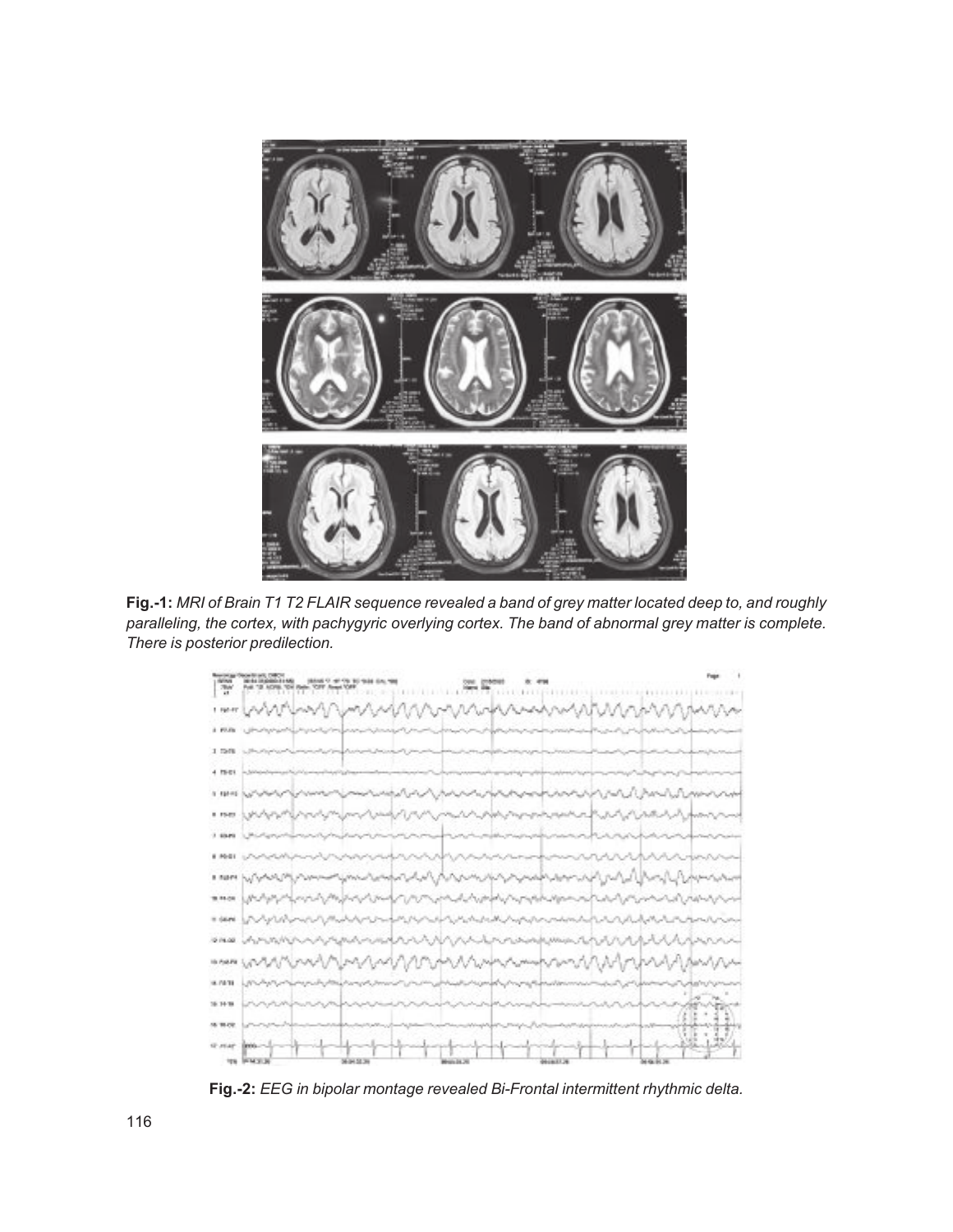

**Fig.-1:** *MRI of Brain T1 T2 FLAIR sequence revealed a band of grey matter located deep to, and roughly paralleling, the cortex, with pachygyric overlying cortex. The band of abnormal grey matter is complete. There is posterior predilection.*



**Fig.-2:** *EEG in bipolar montage revealed Bi-Frontal intermittent rhythmic delta.*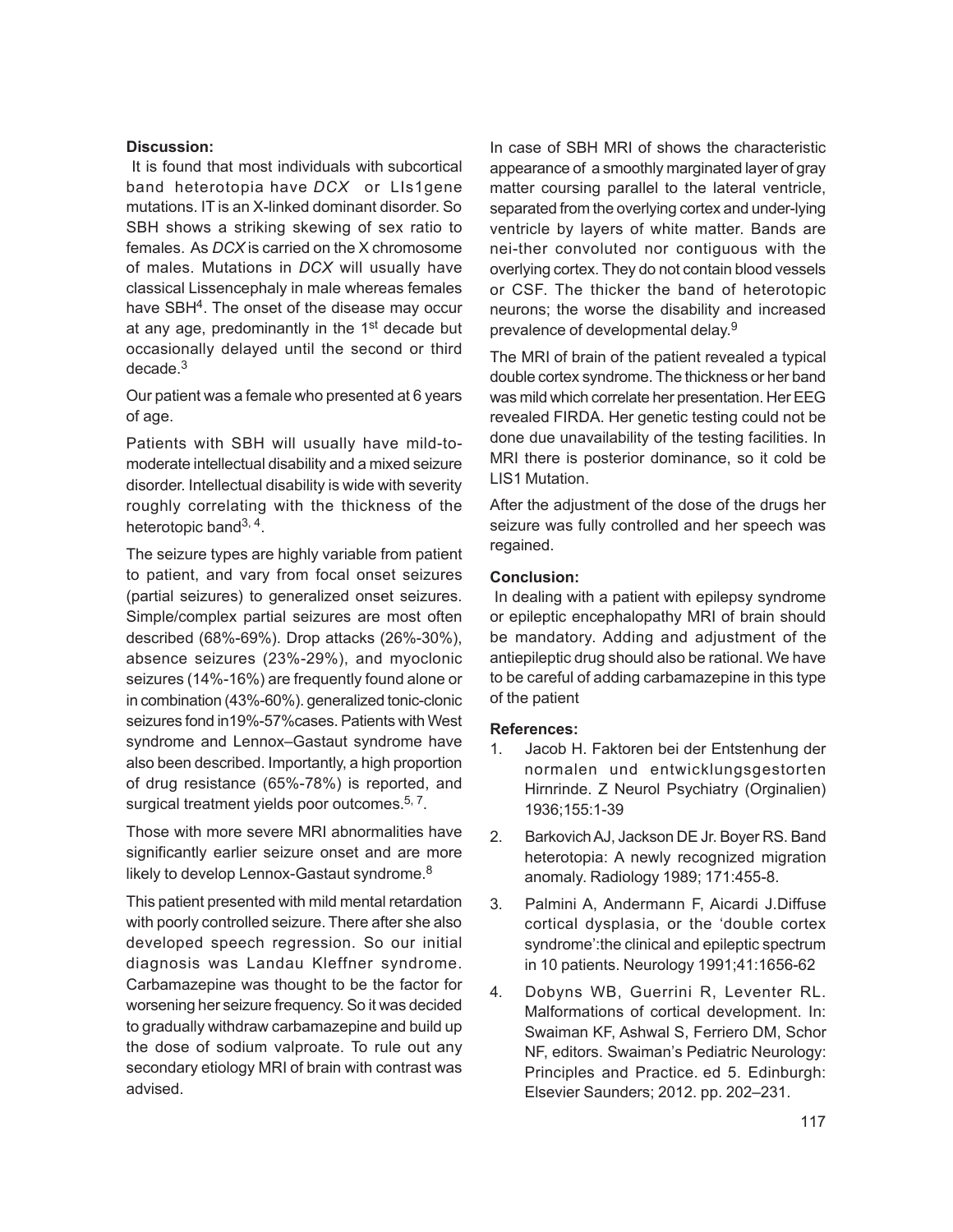## **Discussion:**

 It is found that most individuals with subcortical band heterotopia have *DCX* or LIs1gene mutations. IT is an X-linked dominant disorder. So SBH shows a striking skewing of sex ratio to females. As *DCX* is carried on the X chromosome of males. Mutations in *DCX* will usually have classical Lissencephaly in male whereas females have SBH<sup>4</sup>. The onset of the disease may occur at any age, predominantly in the 1<sup>st</sup> decade but occasionally delayed until the second or third decade.<sup>3</sup>

Our patient was a female who presented at 6 years of age.

Patients with SBH will usually have mild-tomoderate intellectual disability and a mixed seizure disorder. Intellectual disability is wide with severity roughly correlating with the thickness of the heterotopic band<sup>3, 4</sup>.

The seizure types are highly variable from patient to patient, and vary from focal onset seizures (partial seizures) to generalized onset seizures. Simple/complex partial seizures are most often described (68%-69%). Drop attacks (26%-30%), absence seizures (23%-29%), and myoclonic seizures (14%-16%) are frequently found alone or in combination (43%-60%). generalized tonic-clonic seizures fond in19%-57%cases. Patients with West syndrome and Lennox–Gastaut syndrome have also been described. Importantly, a high proportion of drug resistance (65%-78%) is reported, and surgical treatment yields poor outcomes.<sup>5, 7</sup>.

Those with more severe MRI abnormalities have significantly earlier seizure onset and are more likely to develop Lennox-Gastaut syndrome.<sup>8</sup>

This patient presented with mild mental retardation with poorly controlled seizure. There after she also developed speech regression. So our initial diagnosis was Landau Kleffner syndrome. Carbamazepine was thought to be the factor for worsening her seizure frequency. So it was decided to gradually withdraw carbamazepine and build up the dose of sodium valproate. To rule out any secondary etiology MRI of brain with contrast was advised.

In case of SBH MRI of shows the characteristic appearance of a smoothly marginated layer of gray matter coursing parallel to the lateral ventricle, separated from the overlying cortex and under-lying ventricle by layers of white matter. Bands are nei-ther convoluted nor contiguous with the overlying cortex. They do not contain blood vessels or CSF. The thicker the band of heterotopic neurons; the worse the disability and increased prevalence of developmental delay.<sup>9</sup>

The MRI of brain of the patient revealed a typical double cortex syndrome. The thickness or her band was mild which correlate her presentation. Her EEG revealed FIRDA. Her genetic testing could not be done due unavailability of the testing facilities. In MRI there is posterior dominance, so it cold be LIS1 Mutation.

After the adjustment of the dose of the drugs her seizure was fully controlled and her speech was regained.

## **Conclusion:**

 In dealing with a patient with epilepsy syndrome or epileptic encephalopathy MRI of brain should be mandatory. Adding and adjustment of the antiepileptic drug should also be rational. We have to be careful of adding carbamazepine in this type of the patient

## **References:**

- 1. Jacob H. Faktoren bei der Entstenhung der normalen und entwicklungsgestorten Hirnrinde. Z Neurol Psychiatry (Orginalien) 1936;155:1-39
- 2. Barkovich AJ, Jackson DE Jr. Boyer RS. Band heterotopia: A newly recognized migration anomaly. Radiology 1989; 171:455-8.
- 3. Palmini A, Andermann F, Aicardi J.Diffuse cortical dysplasia, or the 'double cortex syndrome':the clinical and epileptic spectrum in 10 patients. Neurology 1991;41:1656-62
- 4. Dobyns WB, Guerrini R, Leventer RL. Malformations of cortical development. In: Swaiman KF, Ashwal S, Ferriero DM, Schor NF, editors. Swaiman's Pediatric Neurology: Principles and Practice. ed 5. Edinburgh: Elsevier Saunders; 2012. pp. 202–231.